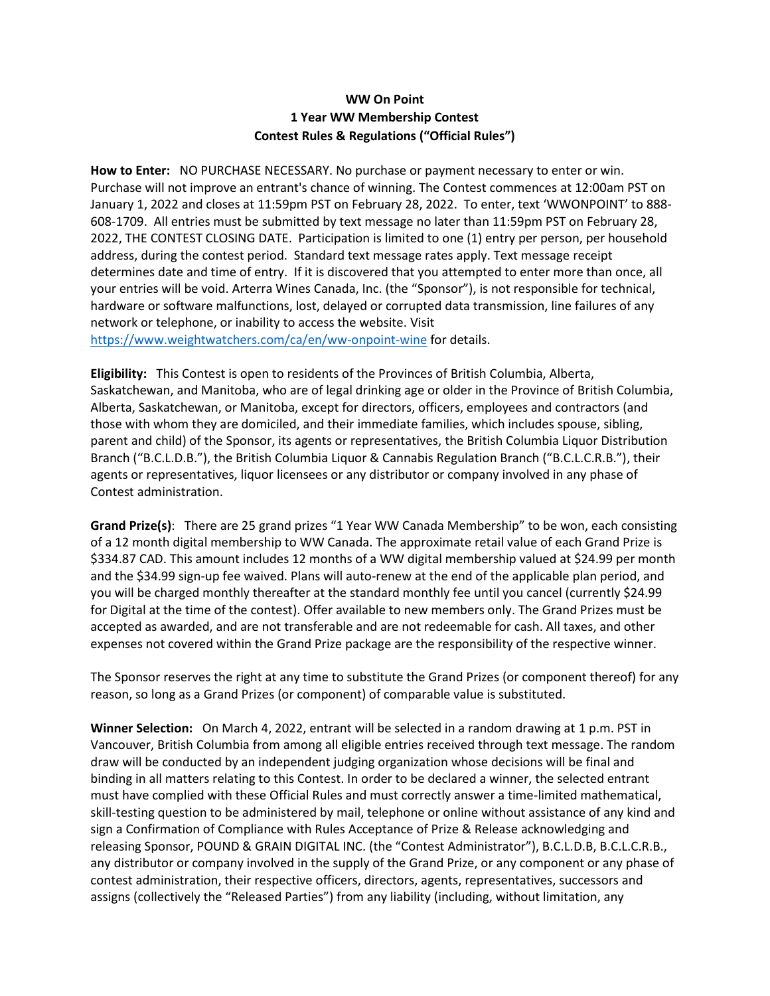## **WW On Point 1 Year WW Membership Contest Contest Rules & Regulations ("Official Rules")**

**How to Enter:** NO PURCHASE NECESSARY. No purchase or payment necessary to enter or win. Purchase will not improve an entrant's chance of winning. The Contest commences at 12:00am PST on January 1, 2022 and closes at 11:59pm PST on February 28, 2022. To enter, text 'WWONPOINT' to 888- 608-1709. All entries must be submitted by text message no later than 11:59pm PST on February 28, 2022, THE CONTEST CLOSING DATE. Participation is limited to one (1) entry per person, per household address, during the contest period. Standard text message rates apply. Text message receipt determines date and time of entry. If it is discovered that you attempted to enter more than once, all your entries will be void. Arterra Wines Canada, Inc. (the "Sponsor"), is not responsible for technical, hardware or software malfunctions, lost, delayed or corrupted data transmission, line failures of any network or telephone, or inability to access the website. Visit <https://www.weightwatchers.com/ca/en/ww-onpoint-wine> for details.

**Eligibility:** This Contest is open to residents of the Provinces of British Columbia, Alberta, Saskatchewan, and Manitoba, who are of legal drinking age or older in the Province of British Columbia, Alberta, Saskatchewan, or Manitoba, except for directors, officers, employees and contractors (and those with whom they are domiciled, and their immediate families, which includes spouse, sibling, parent and child) of the Sponsor, its agents or representatives, the British Columbia Liquor Distribution Branch ("B.C.L.D.B."), the British Columbia Liquor & Cannabis Regulation Branch ("B.C.L.C.R.B."), their agents or representatives, liquor licensees or any distributor or company involved in any phase of Contest administration.

**Grand Prize(s)**: There are 25 grand prizes "1 Year WW Canada Membership" to be won, each consisting of a 12 month digital membership to WW Canada. The approximate retail value of each Grand Prize is \$334.87 CAD. This amount includes 12 months of a WW digital membership valued at \$24.99 per month and the \$34.99 sign-up fee waived. Plans will auto-renew at the end of the applicable plan period, and you will be charged monthly thereafter at the standard monthly fee until you cancel (currently \$24.99 for Digital at the time of the contest). Offer available to new members only. The Grand Prizes must be accepted as awarded, and are not transferable and are not redeemable for cash. All taxes, and other expenses not covered within the Grand Prize package are the responsibility of the respective winner.

The Sponsor reserves the right at any time to substitute the Grand Prizes (or component thereof) for any reason, so long as a Grand Prizes (or component) of comparable value is substituted.

**Winner Selection:** On March 4, 2022, entrant will be selected in a random drawing at 1 p.m. PST in Vancouver, British Columbia from among all eligible entries received through text message. The random draw will be conducted by an independent judging organization whose decisions will be final and binding in all matters relating to this Contest. In order to be declared a winner, the selected entrant must have complied with these Official Rules and must correctly answer a time-limited mathematical, skill-testing question to be administered by mail, telephone or online without assistance of any kind and sign a Confirmation of Compliance with Rules Acceptance of Prize & Release acknowledging and releasing Sponsor, POUND & GRAIN DIGITAL INC. (the "Contest Administrator"), B.C.L.D.B, B.C.L.C.R.B., any distributor or company involved in the supply of the Grand Prize, or any component or any phase of contest administration, their respective officers, directors, agents, representatives, successors and assigns (collectively the "Released Parties") from any liability (including, without limitation, any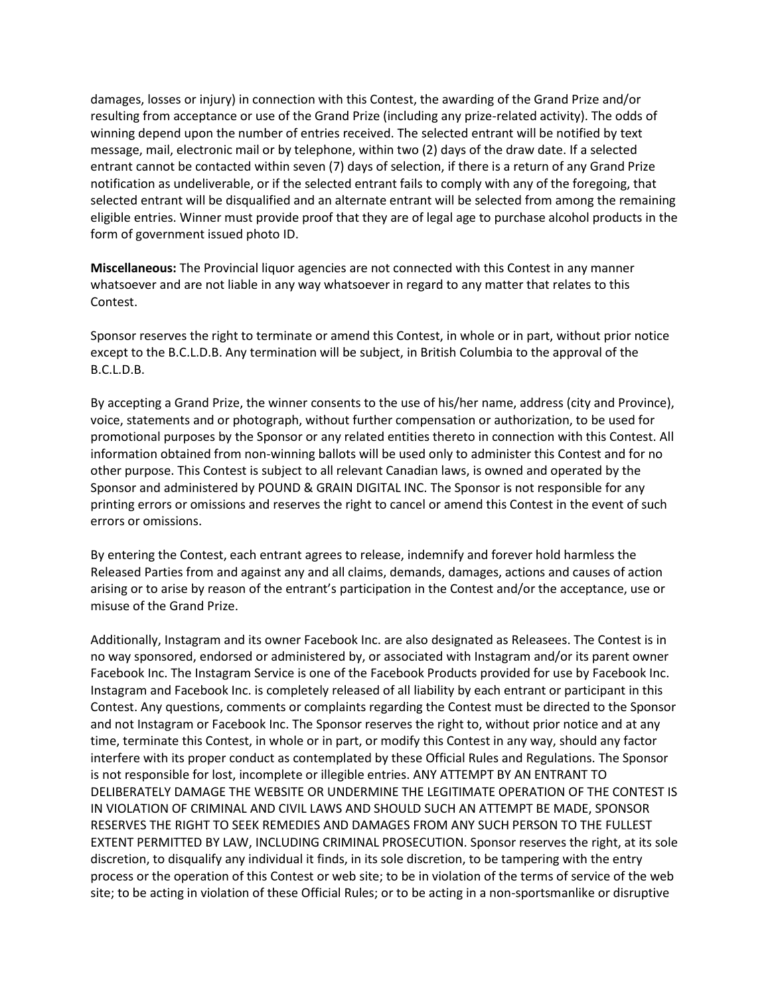damages, losses or injury) in connection with this Contest, the awarding of the Grand Prize and/or resulting from acceptance or use of the Grand Prize (including any prize-related activity). The odds of winning depend upon the number of entries received. The selected entrant will be notified by text message, mail, electronic mail or by telephone, within two (2) days of the draw date. If a selected entrant cannot be contacted within seven (7) days of selection, if there is a return of any Grand Prize notification as undeliverable, or if the selected entrant fails to comply with any of the foregoing, that selected entrant will be disqualified and an alternate entrant will be selected from among the remaining eligible entries. Winner must provide proof that they are of legal age to purchase alcohol products in the form of government issued photo ID.

**Miscellaneous:** The Provincial liquor agencies are not connected with this Contest in any manner whatsoever and are not liable in any way whatsoever in regard to any matter that relates to this Contest.

Sponsor reserves the right to terminate or amend this Contest, in whole or in part, without prior notice except to the B.C.L.D.B. Any termination will be subject, in British Columbia to the approval of the B.C.L.D.B.

By accepting a Grand Prize, the winner consents to the use of his/her name, address (city and Province), voice, statements and or photograph, without further compensation or authorization, to be used for promotional purposes by the Sponsor or any related entities thereto in connection with this Contest. All information obtained from non-winning ballots will be used only to administer this Contest and for no other purpose. This Contest is subject to all relevant Canadian laws, is owned and operated by the Sponsor and administered by POUND & GRAIN DIGITAL INC. The Sponsor is not responsible for any printing errors or omissions and reserves the right to cancel or amend this Contest in the event of such errors or omissions.

By entering the Contest, each entrant agrees to release, indemnify and forever hold harmless the Released Parties from and against any and all claims, demands, damages, actions and causes of action arising or to arise by reason of the entrant's participation in the Contest and/or the acceptance, use or misuse of the Grand Prize.

Additionally, Instagram and its owner Facebook Inc. are also designated as Releasees. The Contest is in no way sponsored, endorsed or administered by, or associated with Instagram and/or its parent owner Facebook Inc. The Instagram Service is one of the Facebook Products provided for use by Facebook Inc. Instagram and Facebook Inc. is completely released of all liability by each entrant or participant in this Contest. Any questions, comments or complaints regarding the Contest must be directed to the Sponsor and not Instagram or Facebook Inc. The Sponsor reserves the right to, without prior notice and at any time, terminate this Contest, in whole or in part, or modify this Contest in any way, should any factor interfere with its proper conduct as contemplated by these Official Rules and Regulations. The Sponsor is not responsible for lost, incomplete or illegible entries. ANY ATTEMPT BY AN ENTRANT TO DELIBERATELY DAMAGE THE WEBSITE OR UNDERMINE THE LEGITIMATE OPERATION OF THE CONTEST IS IN VIOLATION OF CRIMINAL AND CIVIL LAWS AND SHOULD SUCH AN ATTEMPT BE MADE, SPONSOR RESERVES THE RIGHT TO SEEK REMEDIES AND DAMAGES FROM ANY SUCH PERSON TO THE FULLEST EXTENT PERMITTED BY LAW, INCLUDING CRIMINAL PROSECUTION. Sponsor reserves the right, at its sole discretion, to disqualify any individual it finds, in its sole discretion, to be tampering with the entry process or the operation of this Contest or web site; to be in violation of the terms of service of the web site; to be acting in violation of these Official Rules; or to be acting in a non-sportsmanlike or disruptive